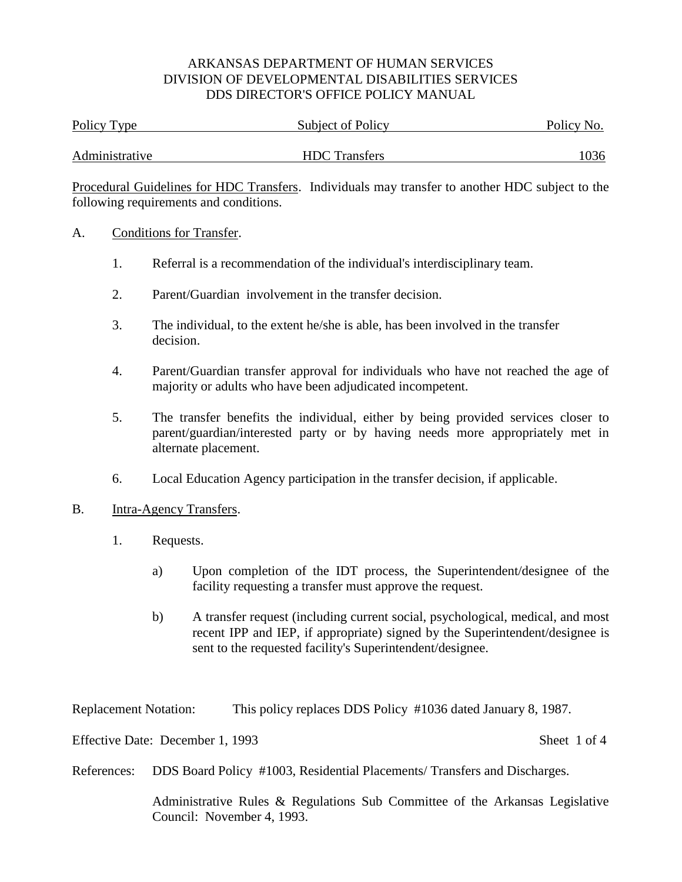| Policy Type    | Subject of Policy    | Policy No. |
|----------------|----------------------|------------|
| Administrative | <b>HDC</b> Transfers | 1036       |

Procedural Guidelines for HDC Transfers. Individuals may transfer to another HDC subject to the following requirements and conditions.

#### A. Conditions for Transfer.

- 1. Referral is a recommendation of the individual's interdisciplinary team.
- 2. Parent/Guardian involvement in the transfer decision.
- 3. The individual, to the extent he/she is able, has been involved in the transfer decision.
- 4. Parent/Guardian transfer approval for individuals who have not reached the age of majority or adults who have been adjudicated incompetent.
- 5. The transfer benefits the individual, either by being provided services closer to parent/guardian/interested party or by having needs more appropriately met in alternate placement.
- 6. Local Education Agency participation in the transfer decision, if applicable.
- B. Intra-Agency Transfers.
	- 1. Requests.
		- a) Upon completion of the IDT process, the Superintendent/designee of the facility requesting a transfer must approve the request.
		- b) A transfer request (including current social, psychological, medical, and most recent IPP and IEP, if appropriate) signed by the Superintendent/designee is sent to the requested facility's Superintendent/designee.

Replacement Notation: This policy replaces DDS Policy #1036 dated January 8, 1987.

Effective Date: December 1, 1993 Sheet 1 of 4

References: DDS Board Policy #1003, Residential Placements/ Transfers and Discharges.

Administrative Rules & Regulations Sub Committee of the Arkansas Legislative Council: November 4, 1993.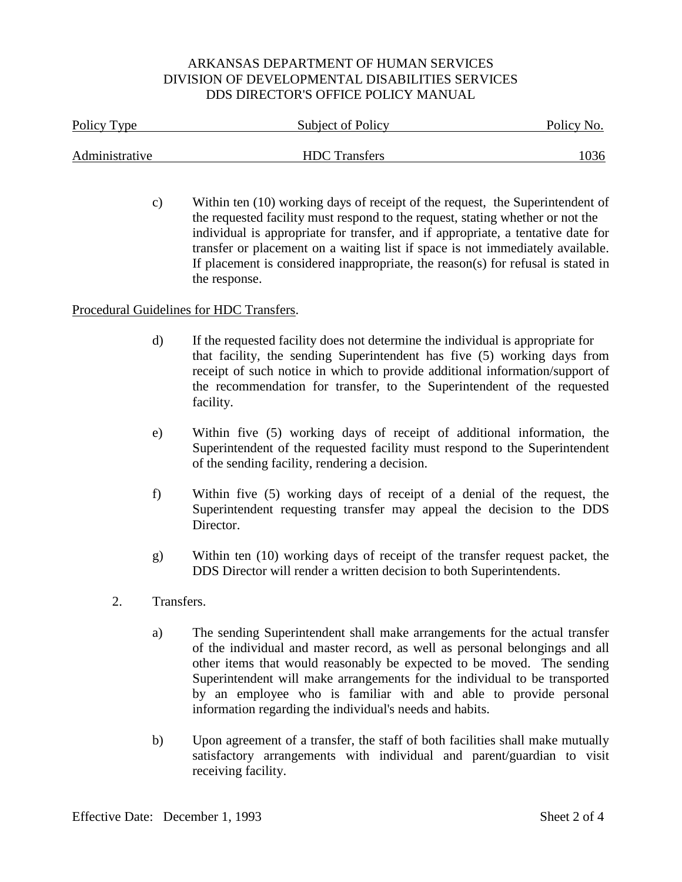| Policy Type    | Subject of Policy    | Policy No. |
|----------------|----------------------|------------|
| Administrative | <b>HDC</b> Transfers | 1036       |
|                |                      |            |

c) Within ten (10) working days of receipt of the request, the Superintendent of the requested facility must respond to the request, stating whether or not the individual is appropriate for transfer, and if appropriate, a tentative date for transfer or placement on a waiting list if space is not immediately available. If placement is considered inappropriate, the reason(s) for refusal is stated in the response.

#### Procedural Guidelines for HDC Transfers.

- d) If the requested facility does not determine the individual is appropriate for that facility, the sending Superintendent has five (5) working days from receipt of such notice in which to provide additional information/support of the recommendation for transfer, to the Superintendent of the requested facility.
- e) Within five (5) working days of receipt of additional information, the Superintendent of the requested facility must respond to the Superintendent of the sending facility, rendering a decision.
- f) Within five (5) working days of receipt of a denial of the request, the Superintendent requesting transfer may appeal the decision to the DDS Director.
- g) Within ten (10) working days of receipt of the transfer request packet, the DDS Director will render a written decision to both Superintendents.
- 2. Transfers.
	- a) The sending Superintendent shall make arrangements for the actual transfer of the individual and master record, as well as personal belongings and all other items that would reasonably be expected to be moved. The sending Superintendent will make arrangements for the individual to be transported by an employee who is familiar with and able to provide personal information regarding the individual's needs and habits.
	- b) Upon agreement of a transfer, the staff of both facilities shall make mutually satisfactory arrangements with individual and parent/guardian to visit receiving facility.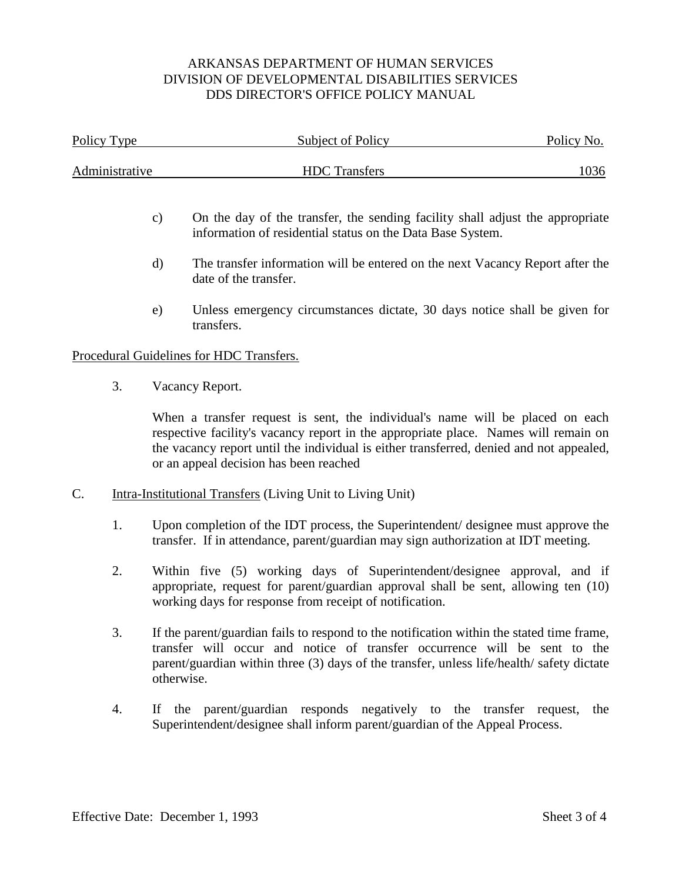| Policy Type    |                                                                                                                                                                                                                                                                                   | Subject of Policy                                                                                                                                                                                                                                                                                         | Policy No. |
|----------------|-----------------------------------------------------------------------------------------------------------------------------------------------------------------------------------------------------------------------------------------------------------------------------------|-----------------------------------------------------------------------------------------------------------------------------------------------------------------------------------------------------------------------------------------------------------------------------------------------------------|------------|
| Administrative |                                                                                                                                                                                                                                                                                   | <b>HDC</b> Transfers                                                                                                                                                                                                                                                                                      | 1036       |
|                | $\mathbf{c})$                                                                                                                                                                                                                                                                     | On the day of the transfer, the sending facility shall adjust the appropriate<br>information of residential status on the Data Base System.                                                                                                                                                               |            |
|                | d)                                                                                                                                                                                                                                                                                | The transfer information will be entered on the next Vacancy Report after the<br>date of the transfer.                                                                                                                                                                                                    |            |
|                | e)                                                                                                                                                                                                                                                                                | Unless emergency circumstances dictate, 30 days notice shall be given for<br>transfers.                                                                                                                                                                                                                   |            |
|                |                                                                                                                                                                                                                                                                                   | Procedural Guidelines for HDC Transfers.                                                                                                                                                                                                                                                                  |            |
| 3.             |                                                                                                                                                                                                                                                                                   | Vacancy Report.                                                                                                                                                                                                                                                                                           |            |
|                |                                                                                                                                                                                                                                                                                   | When a transfer request is sent, the individual's name will be placed on each<br>respective facility's vacancy report in the appropriate place. Names will remain on<br>the vacancy report until the individual is either transferred, denied and not appealed,<br>or an appeal decision has been reached |            |
| C.             |                                                                                                                                                                                                                                                                                   | <b>Intra-Institutional Transfers (Living Unit to Living Unit)</b>                                                                                                                                                                                                                                         |            |
| 1.             |                                                                                                                                                                                                                                                                                   | Upon completion of the IDT process, the Superintendent/ designee must approve the<br>transfer. If in attendance, parent/guardian may sign authorization at IDT meeting.                                                                                                                                   |            |
| 2.             | Within five (5) working days of Superintendent/designee approval, and if<br>appropriate, request for parent/guardian approval shall be sent, allowing ten (10)<br>working days for response from receipt of notification.                                                         |                                                                                                                                                                                                                                                                                                           |            |
| 3.             | If the parent/guardian fails to respond to the notification within the stated time frame,<br>transfer will occur and notice of transfer occurrence will be sent to the<br>parent/guardian within three (3) days of the transfer, unless life/health/ safety dictate<br>otherwise. |                                                                                                                                                                                                                                                                                                           |            |
| 4.             |                                                                                                                                                                                                                                                                                   | If the parent/guardian responds negatively to the transfer request,<br>Superintendent/designee shall inform parent/guardian of the Appeal Process.                                                                                                                                                        | the        |
|                |                                                                                                                                                                                                                                                                                   |                                                                                                                                                                                                                                                                                                           |            |